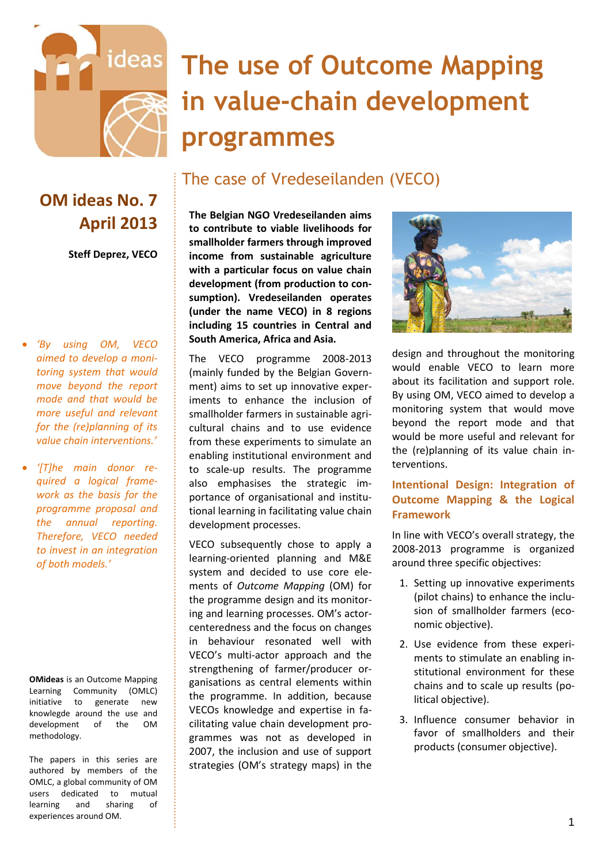

# **The use of Outcome Mapping in value-chain development programmes**

## The case of Vredeseilanden (VECO)

## **OM ideas No. 7 April 2013**

**Steff Deprez, VECO**

- *'By using OM, VECO aimed to develop a monitoring system that would move beyond the report mode and that would be more useful and relevant for the (re)planning of its value chain interventions.'*
- *'[T]he main donor required a logical framework as the basis for the programme proposal and the annual reporting. Therefore, VECO needed to invest in an integration of both models.'*

**OMideas** is an Outcome Mapping Learning Community (OMLC) initiative to generate new knowlegde around the use and development of the OM methodology.

The papers in this series are authored by members of the OMLC, a global community of OM users dedicated to mutual learning and sharing of experiences around OM.

**The Belgian NGO Vredeseilanden aims to contribute to viable livelihoods for smallholder farmers through improved income from sustainable agriculture with a particular focus on value chain development (from production to consumption). Vredeseilanden operates (under the name VECO) in 8 regions including 15 countries in Central and South America, Africa and Asia.** 

The VECO programme 2008-2013 (mainly funded by the Belgian Government) aims to set up innovative experiments to enhance the inclusion of smallholder farmers in sustainable agricultural chains and to use evidence from these experiments to simulate an enabling institutional environment and to scale-up results. The programme also emphasises the strategic importance of organisational and institutional learning in facilitating value chain development processes.

VECO subsequently chose to apply a learning-oriented planning and M&E system and decided to use core elements of *Outcome Mapping* (OM) for the programme design and its monitoring and learning processes. OM's actorcenteredness and the focus on changes in behaviour resonated well with VECO's multi-actor approach and the strengthening of farmer/producer organisations as central elements within the programme. In addition, because VECOs knowledge and expertise in facilitating value chain development programmes was not as developed in 2007, the inclusion and use of support strategies (OM's strategy maps) in the



design and throughout the monitoring would enable VECO to learn more about its facilitation and support role. By using OM, VECO aimed to develop a monitoring system that would move beyond the report mode and that would be more useful and relevant for the (re)planning of its value chain interventions.

#### **Intentional Design: Integration of Outcome Mapping & the Logical Framework**

In line with VECO's overall strategy, the 2008-2013 programme is organized around three specific objectives:

- 1. Setting up innovative experiments (pilot chains) to enhance the inclusion of smallholder farmers (economic objective).
- 2. Use evidence from these experiments to stimulate an enabling institutional environment for these chains and to scale up results (political objective).
- 3. Influence consumer behavior in favor of smallholders and their products (consumer objective).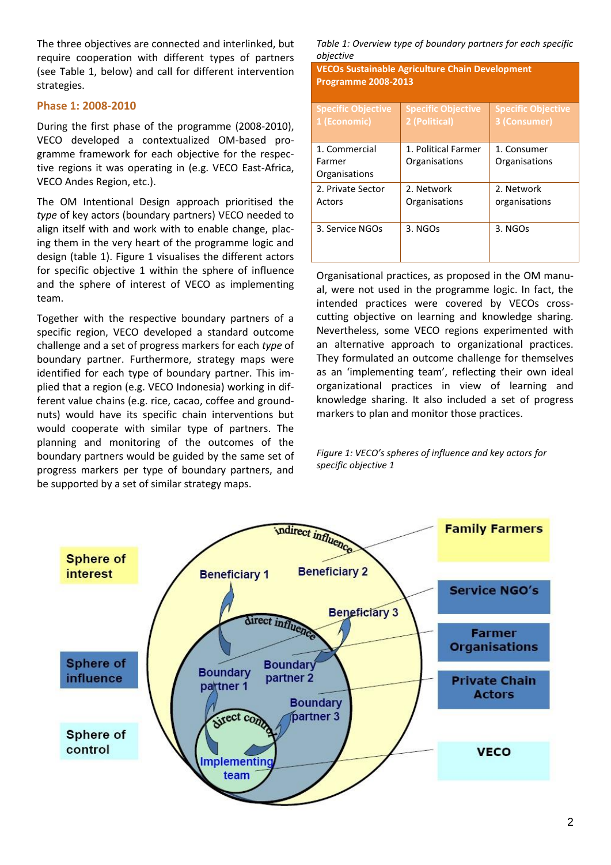The three objectives are connected and interlinked, but require cooperation with different types of partners (see Table 1, below) and call for different intervention strategies.

#### **Phase 1: 2008-2010**

During the first phase of the programme (2008-2010), VECO developed a contextualized OM-based programme framework for each objective for the respective regions it was operating in (e.g. VECO East-Africa, VECO Andes Region, etc.).

The OM Intentional Design approach prioritised the *type* of key actors (boundary partners) VECO needed to align itself with and work with to enable change, placing them in the very heart of the programme logic and design (table 1). Figure 1 visualises the different actors for specific objective 1 within the sphere of influence and the sphere of interest of VECO as implementing team.

Together with the respective boundary partners of a specific region, VECO developed a standard outcome challenge and a set of progress markers for each *type* of boundary partner. Furthermore, strategy maps were identified for each type of boundary partner. This implied that a region (e.g. VECO Indonesia) working in different value chains (e.g. rice, cacao, coffee and groundnuts) would have its specific chain interventions but would cooperate with similar type of partners. The planning and monitoring of the outcomes of the boundary partners would be guided by the same set of progress markers per type of boundary partners, and be supported by a set of similar strategy maps.

*Table 1: Overview type of boundary partners for each specific objective* 

**VECOs Sustainable Agriculture Chain Development Programme 2008-2013** 

| <b>Specific Objective</b> | <b>Specific Objective</b> | <b>Specific Objective</b> |
|---------------------------|---------------------------|---------------------------|
| 1 (Economic)              | 2 (Political)             | 3 (Consumer)              |
|                           |                           |                           |
|                           |                           |                           |
| 1. Commercial             | 1. Political Farmer       | 1. Consumer               |
| Farmer                    | Organisations             | Organisations             |
| Organisations             |                           |                           |
| 2. Private Sector         | 2. Network                | 2. Network                |
|                           |                           |                           |
| Actors                    | Organisations             | organisations             |
|                           |                           |                           |
| 3. Service NGOs           | 3. NGOs                   | 3. NGOs                   |
|                           |                           |                           |
|                           |                           |                           |
|                           |                           |                           |

Organisational practices, as proposed in the OM manual, were not used in the programme logic. In fact, the intended practices were covered by VECOs crosscutting objective on learning and knowledge sharing. Nevertheless, some VECO regions experimented with an alternative approach to organizational practices. They formulated an outcome challenge for themselves as an 'implementing team', reflecting their own ideal organizational practices in view of learning and knowledge sharing. It also included a set of progress markers to plan and monitor those practices.

*Figure 1: VECO's spheres of influence and key actors for specific objective 1*

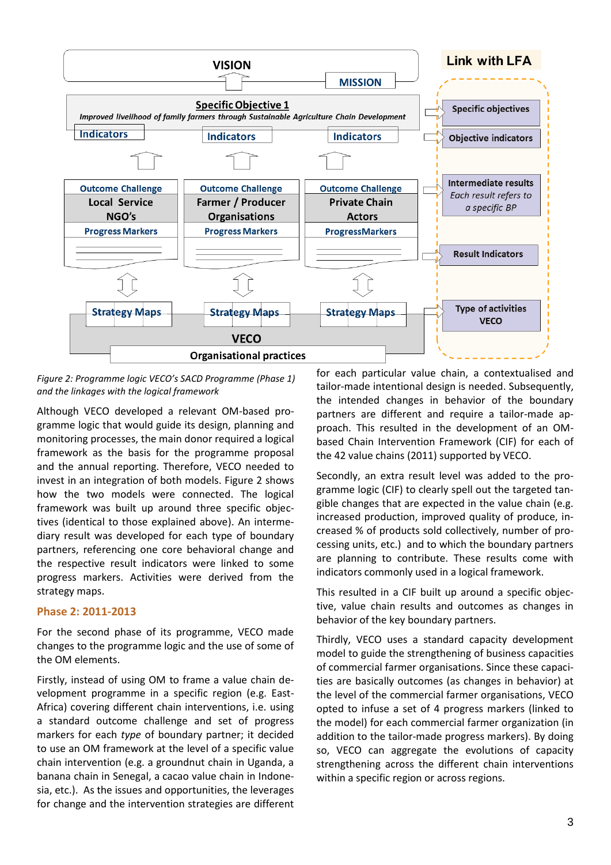

*Figure 2: Programme logic VECO's SACD Programme (Phase 1) and the linkages with the logical framework*

Although VECO developed a relevant OM-based programme logic that would guide its design, planning and monitoring processes, the main donor required a logical framework as the basis for the programme proposal and the annual reporting. Therefore, VECO needed to invest in an integration of both models. Figure 2 shows how the two models were connected. The logical framework was built up around three specific objectives (identical to those explained above). An intermediary result was developed for each type of boundary partners, referencing one core behavioral change and the respective result indicators were linked to some progress markers. Activities were derived from the strategy maps.

#### **Phase 2: 2011-2013**

For the second phase of its programme, VECO made changes to the programme logic and the use of some of the OM elements.

Firstly, instead of using OM to frame a value chain development programme in a specific region (e.g. East-Africa) covering different chain interventions, i.e. using a standard outcome challenge and set of progress markers for each *type* of boundary partner; it decided to use an OM framework at the level of a specific value chain intervention (e.g. a groundnut chain in Uganda, a banana chain in Senegal, a cacao value chain in Indonesia, etc.). As the issues and opportunities, the leverages for change and the intervention strategies are different

for each particular value chain, a contextualised and tailor-made intentional design is needed. Subsequently, the intended changes in behavior of the boundary partners are different and require a tailor-made approach. This resulted in the development of an OMbased Chain Intervention Framework (CIF) for each of the 42 value chains (2011) supported by VECO.

Secondly, an extra result level was added to the programme logic (CIF) to clearly spell out the targeted tangible changes that are expected in the value chain (e.g. increased production, improved quality of produce, increased % of products sold collectively, number of processing units, etc.) and to which the boundary partners are planning to contribute. These results come with indicators commonly used in a logical framework.

This resulted in a CIF built up around a specific objective, value chain results and outcomes as changes in behavior of the key boundary partners.

Thirdly, VECO uses a standard capacity development model to guide the strengthening of business capacities of commercial farmer organisations. Since these capacities are basically outcomes (as changes in behavior) at the level of the commercial farmer organisations, VECO opted to infuse a set of 4 progress markers (linked to the model) for each commercial farmer organization (in addition to the tailor-made progress markers). By doing so, VECO can aggregate the evolutions of capacity strengthening across the different chain interventions within a specific region or across regions.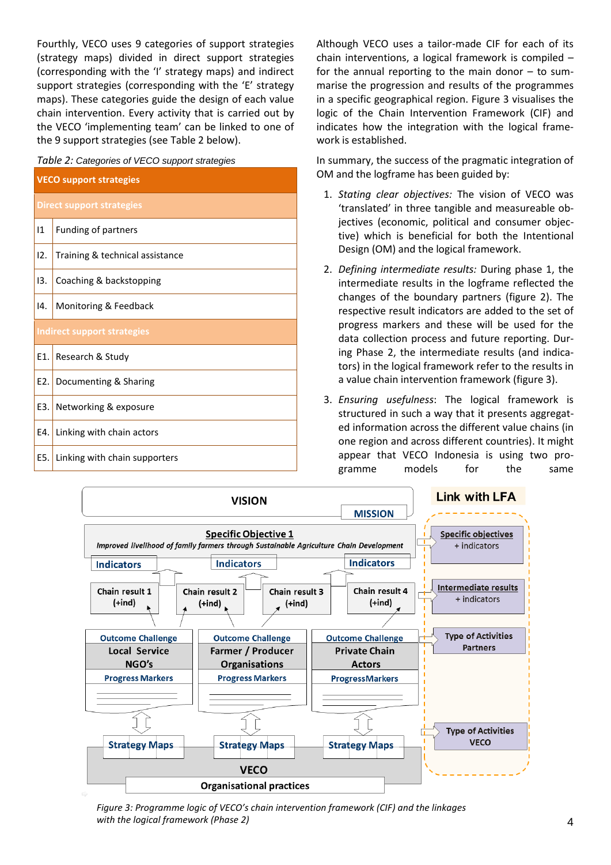Fourthly, VECO uses 9 categories of support strategies (strategy maps) divided in direct support strategies (corresponding with the 'I' strategy maps) and indirect support strategies (corresponding with the 'E' strategy maps). These categories guide the design of each value chain intervention. Every activity that is carried out by the VECO 'implementing team' can be linked to one of the 9 support strategies (see Table 2 below).

| Table 2: Categories of VECO support strategies |                                 |  |  |
|------------------------------------------------|---------------------------------|--|--|
| <b>VECO support strategies</b>                 |                                 |  |  |
| <b>Direct support strategies</b>               |                                 |  |  |
| $\mathbf{11}$                                  | Funding of partners             |  |  |
| 12.                                            | Training & technical assistance |  |  |
| 13.                                            | Coaching & backstopping         |  |  |
| 14.                                            | Monitoring & Feedback           |  |  |
| Indirect support strategies                    |                                 |  |  |
| E1.                                            | Research & Study                |  |  |
| E2.                                            | Documenting & Sharing           |  |  |
| E3.                                            | Networking & exposure           |  |  |
| E4.                                            | Linking with chain actors       |  |  |
| E5.                                            | Linking with chain supporters   |  |  |

Although VECO uses a tailor-made CIF for each of its chain interventions, a logical framework is compiled – for the annual reporting to the main donor – to summarise the progression and results of the programmes in a specific geographical region. Figure 3 visualises the logic of the Chain Intervention Framework (CIF) and indicates how the integration with the logical framework is established.

In summary, the success of the pragmatic integration of OM and the logframe has been guided by:

- 1. *Stating clear objectives:* The vision of VECO was 'translated' in three tangible and measureable objectives (economic, political and consumer objective) which is beneficial for both the Intentional Design (OM) and the logical framework.
- 2. *Defining intermediate results:* During phase 1, the intermediate results in the logframe reflected the changes of the boundary partners (figure 2). The respective result indicators are added to the set of progress markers and these will be used for the data collection process and future reporting. During Phase 2, the intermediate results (and indicators) in the logical framework refer to the results in a value chain intervention framework (figure 3).
- 3. *Ensuring usefulness*: The logical framework is structured in such a way that it presents aggregated information across the different value chains (in one region and across different countries). It might appear that VECO Indonesia is using two programme models for the same



*Figure 3: Programme logic of VECO's chain intervention framework (CIF) and the linkages with the logical framework (Phase 2)*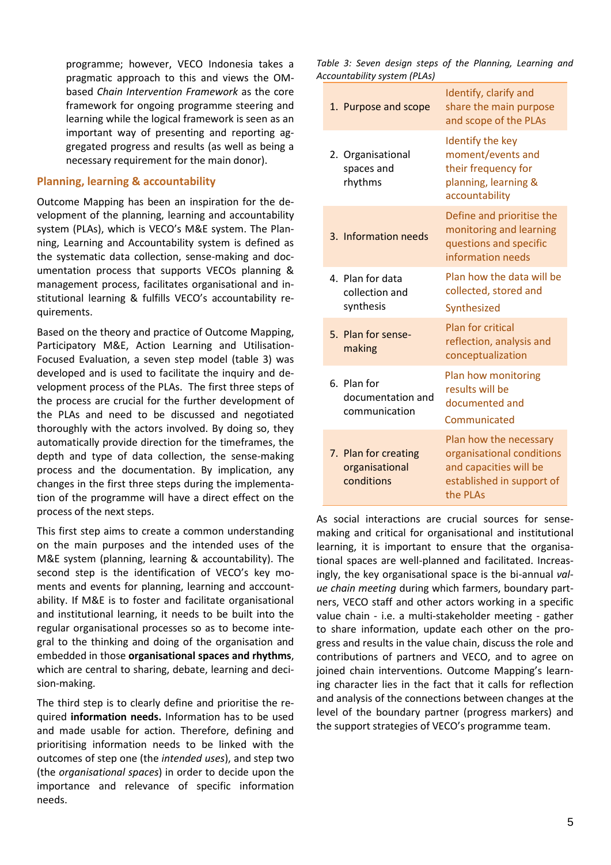programme; however, VECO Indonesia takes a pragmatic approach to this and views the OMbased *Chain Intervention Framework* as the core framework for ongoing programme steering and learning while the logical framework is seen as an important way of presenting and reporting aggregated progress and results (as well as being a necessary requirement for the main donor).

#### **Planning, learning & accountability**

Outcome Mapping has been an inspiration for the development of the planning, learning and accountability system (PLAs), which is VECO's M&E system. The Planning, Learning and Accountability system is defined as the systematic data collection, sense-making and documentation process that supports VECOs planning & management process, facilitates organisational and institutional learning & fulfills VECO's accountability requirements.

Based on the theory and practice of Outcome Mapping, Participatory M&E, Action Learning and Utilisation-Focused Evaluation, a seven step model (table 3) was developed and is used to facilitate the inquiry and development process of the PLAs. The first three steps of the process are crucial for the further development of the PLAs and need to be discussed and negotiated thoroughly with the actors involved. By doing so, they automatically provide direction for the timeframes, the depth and type of data collection, the sense-making process and the documentation. By implication, any changes in the first three steps during the implementation of the programme will have a direct effect on the process of the next steps.

This first step aims to create a common understanding on the main purposes and the intended uses of the M&E system (planning, learning & accountability). The second step is the identification of VECO's key moments and events for planning, learning and acccountability. If M&E is to foster and facilitate organisational and institutional learning, it needs to be built into the regular organisational processes so as to become integral to the thinking and doing of the organisation and embedded in those **organisational spaces and rhythms**, which are central to sharing, debate, learning and decision-making.

The third step is to clearly define and prioritise the required **information needs.** Information has to be used and made usable for action. Therefore, defining and prioritising information needs to be linked with the outcomes of step one (the *intended uses*), and step two (the *organisational spaces*) in order to decide upon the importance and relevance of specific information needs.

*Table 3: Seven design steps of the Planning, Learning and Accountability system (PLAs)*

| 1. Purpose and scope                                 | Identify, clarify and<br>share the main purpose<br>and scope of the PLAs                                               |
|------------------------------------------------------|------------------------------------------------------------------------------------------------------------------------|
| 2. Organisational<br>spaces and<br>rhythms           | Identify the key<br>moment/events and<br>their frequency for<br>planning, learning &<br>accountability                 |
| 3. Information needs                                 | Define and prioritise the<br>monitoring and learning<br>questions and specific<br>information needs                    |
| 4. Plan for data<br>collection and<br>synthesis      | Plan how the data will be<br>collected, stored and<br>Synthesized                                                      |
| 5. Plan for sense-<br>making                         | <b>Plan for critical</b><br>reflection, analysis and<br>conceptualization                                              |
| 6. Plan for<br>documentation and<br>communication    | Plan how monitoring<br>results will be<br>documented and<br>Communicated                                               |
| 7. Plan for creating<br>organisational<br>conditions | Plan how the necessary<br>organisational conditions<br>and capacities will be<br>established in support of<br>the PLAs |

As social interactions are crucial sources for sensemaking and critical for organisational and institutional learning, it is important to ensure that the organisational spaces are well-planned and facilitated. Increasingly, the key organisational space is the bi-annual *value chain meeting* during which farmers, boundary partners, VECO staff and other actors working in a specific value chain - i.e. a multi-stakeholder meeting - gather to share information, update each other on the progress and results in the value chain, discuss the role and contributions of partners and VECO, and to agree on joined chain interventions. Outcome Mapping's learning character lies in the fact that it calls for reflection and analysis of the connections between changes at the level of the boundary partner (progress markers) and the support strategies of VECO's programme team.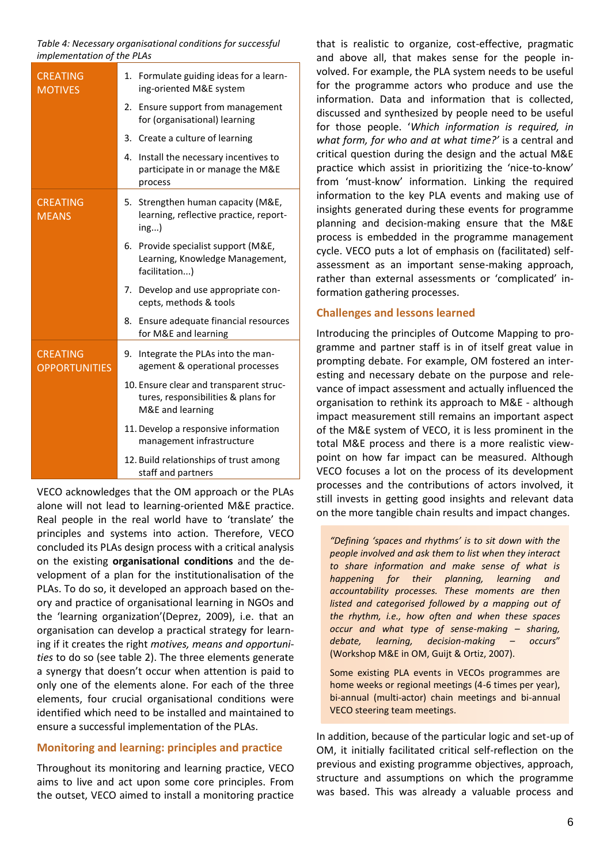*Table 4: Necessary organisational conditions for successful implementation of the PLAs*

| <b>CREATING</b><br><b>MOTIVES</b>       | 1. Formulate guiding ideas for a learn-<br>ing-oriented M&E system                                 |
|-----------------------------------------|----------------------------------------------------------------------------------------------------|
|                                         | 2. Ensure support from management<br>for (organisational) learning                                 |
|                                         | 3. Create a culture of learning                                                                    |
|                                         | Install the necessary incentives to<br>4.<br>participate in or manage the M&E<br>process           |
| <b>CREATING</b><br><b>MEANS</b>         | 5. Strengthen human capacity (M&E,<br>learning, reflective practice, report-<br>ing)               |
|                                         | 6. Provide specialist support (M&E,<br>Learning, Knowledge Management,<br>facilitation)            |
|                                         | 7. Develop and use appropriate con-<br>cepts, methods & tools                                      |
|                                         | 8. Ensure adequate financial resources<br>for M&E and learning                                     |
| <b>CREATING</b><br><b>OPPORTUNITIES</b> | 9. Integrate the PLAs into the man-<br>agement & operational processes                             |
|                                         | 10. Ensure clear and transparent struc-<br>tures, responsibilities & plans for<br>M&E and learning |
|                                         | 11. Develop a responsive information<br>management infrastructure                                  |
|                                         | 12. Build relationships of trust among<br>staff and partners                                       |

VECO acknowledges that the OM approach or the PLAs alone will not lead to learning-oriented M&E practice. Real people in the real world have to 'translate' the principles and systems into action. Therefore, VECO concluded its PLAs design process with a critical analysis on the existing **organisational conditions** and the development of a plan for the institutionalisation of the PLAs. To do so, it developed an approach based on theory and practice of organisational learning in NGOs and the 'learning organization'(Deprez, 2009), i.e. that an organisation can develop a practical strategy for learning if it creates the right *motives, means and opportunities* to do so (see table 2). The three elements generate a synergy that doesn't occur when attention is paid to only one of the elements alone. For each of the three elements, four crucial organisational conditions were identified which need to be installed and maintained to ensure a successful implementation of the PLAs.

#### **Monitoring and learning: principles and practice**

Throughout its monitoring and learning practice, VECO aims to live and act upon some core principles. From the outset, VECO aimed to install a monitoring practice

that is realistic to organize, cost-effective, pragmatic and above all, that makes sense for the people involved. For example, the PLA system needs to be useful for the programme actors who produce and use the information. Data and information that is collected, discussed and synthesized by people need to be useful for those people. '*Which information is required, in what form, for who and at what time?'* is a central and critical question during the design and the actual M&E practice which assist in prioritizing the 'nice-to-know' from 'must-know' information. Linking the required information to the key PLA events and making use of insights generated during these events for programme planning and decision-making ensure that the M&E process is embedded in the programme management cycle. VECO puts a lot of emphasis on (facilitated) selfassessment as an important sense-making approach, rather than external assessments or 'complicated' information gathering processes.

#### **Challenges and lessons learned**

Introducing the principles of Outcome Mapping to programme and partner staff is in of itself great value in prompting debate. For example, OM fostered an interesting and necessary debate on the purpose and relevance of impact assessment and actually influenced the organisation to rethink its approach to M&E - although impact measurement still remains an important aspect of the M&E system of VECO, it is less prominent in the total M&E process and there is a more realistic viewpoint on how far impact can be measured. Although VECO focuses a lot on the process of its development processes and the contributions of actors involved, it still invests in getting good insights and relevant data on the more tangible chain results and impact changes.

*"Defining 'spaces and rhythms' is to sit down with the people involved and ask them to list when they interact to share information and make sense of what is happening for their planning, learning and accountability processes. These moments are then listed and categorised followed by a mapping out of the rhythm, i.e., how often and when these spaces occur and what type of sense-making – sharing, debate, learning, decision-making – occurs*" (Workshop M&E in OM, Guijt & Ortiz, 2007).

Some existing PLA events in VECOs programmes are home weeks or regional meetings (4-6 times per year), bi-annual (multi-actor) chain meetings and bi-annual VECO steering team meetings.

In addition, because of the particular logic and set-up of OM, it initially facilitated critical self-reflection on the previous and existing programme objectives, approach, structure and assumptions on which the programme was based. This was already a valuable process and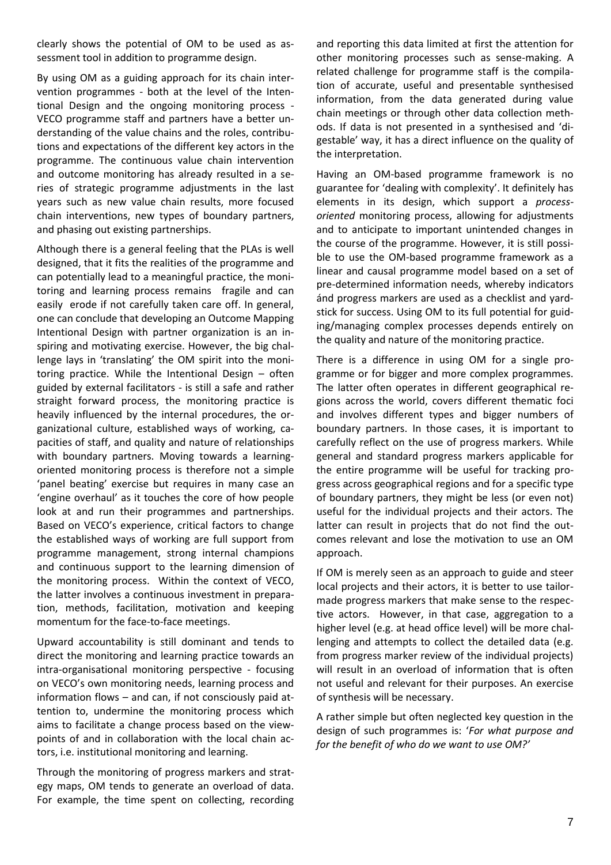clearly shows the potential of OM to be used as assessment tool in addition to programme design.

By using OM as a guiding approach for its chain intervention programmes - both at the level of the Intentional Design and the ongoing monitoring process - VECO programme staff and partners have a better understanding of the value chains and the roles, contributions and expectations of the different key actors in the programme. The continuous value chain intervention and outcome monitoring has already resulted in a series of strategic programme adjustments in the last years such as new value chain results, more focused chain interventions, new types of boundary partners, and phasing out existing partnerships.

Although there is a general feeling that the PLAs is well designed, that it fits the realities of the programme and can potentially lead to a meaningful practice, the monitoring and learning process remains fragile and can easily erode if not carefully taken care off. In general, one can conclude that developing an Outcome Mapping Intentional Design with partner organization is an inspiring and motivating exercise. However, the big challenge lays in 'translating' the OM spirit into the monitoring practice. While the Intentional Design – often guided by external facilitators - is still a safe and rather straight forward process, the monitoring practice is heavily influenced by the internal procedures, the organizational culture, established ways of working, capacities of staff, and quality and nature of relationships with boundary partners. Moving towards a learningoriented monitoring process is therefore not a simple 'panel beating' exercise but requires in many case an 'engine overhaul' as it touches the core of how people look at and run their programmes and partnerships. Based on VECO's experience, critical factors to change the established ways of working are full support from programme management, strong internal champions and continuous support to the learning dimension of the monitoring process. Within the context of VECO, the latter involves a continuous investment in preparation, methods, facilitation, motivation and keeping momentum for the face-to-face meetings.

Upward accountability is still dominant and tends to direct the monitoring and learning practice towards an intra-organisational monitoring perspective - focusing on VECO's own monitoring needs, learning process and information flows – and can, if not consciously paid attention to, undermine the monitoring process which aims to facilitate a change process based on the viewpoints of and in collaboration with the local chain actors, i.e. institutional monitoring and learning.

Through the monitoring of progress markers and strategy maps, OM tends to generate an overload of data. For example, the time spent on collecting, recording and reporting this data limited at first the attention for other monitoring processes such as sense-making. A related challenge for programme staff is the compilation of accurate, useful and presentable synthesised information, from the data generated during value chain meetings or through other data collection methods. If data is not presented in a synthesised and 'digestable' way, it has a direct influence on the quality of the interpretation.

Having an OM-based programme framework is no guarantee for 'dealing with complexity'. It definitely has elements in its design, which support a *processoriented* monitoring process, allowing for adjustments and to anticipate to important unintended changes in the course of the programme. However, it is still possible to use the OM-based programme framework as a linear and causal programme model based on a set of pre-determined information needs, whereby indicators ánd progress markers are used as a checklist and yardstick for success. Using OM to its full potential for guiding/managing complex processes depends entirely on the quality and nature of the monitoring practice.

There is a difference in using OM for a single programme or for bigger and more complex programmes. The latter often operates in different geographical regions across the world, covers different thematic foci and involves different types and bigger numbers of boundary partners. In those cases, it is important to carefully reflect on the use of progress markers. While general and standard progress markers applicable for the entire programme will be useful for tracking progress across geographical regions and for a specific type of boundary partners, they might be less (or even not) useful for the individual projects and their actors. The latter can result in projects that do not find the outcomes relevant and lose the motivation to use an OM approach.

If OM is merely seen as an approach to guide and steer local projects and their actors, it is better to use tailormade progress markers that make sense to the respective actors. However, in that case, aggregation to a higher level (e.g. at head office level) will be more challenging and attempts to collect the detailed data (e.g. from progress marker review of the individual projects) will result in an overload of information that is often not useful and relevant for their purposes. An exercise of synthesis will be necessary.

A rather simple but often neglected key question in the design of such programmes is: '*For what purpose and for the benefit of who do we want to use OM?'*